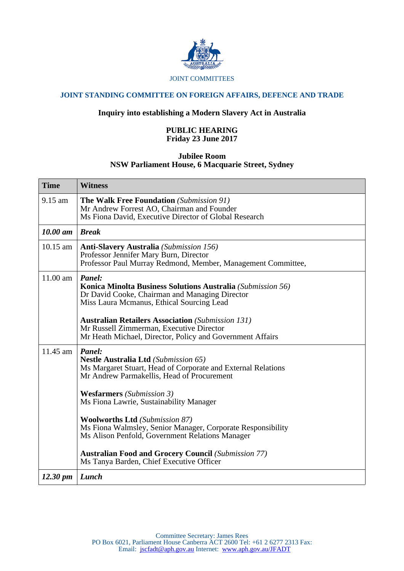

#### JOINT COMMITTEES

# **JOINT STANDING COMMITTEE ON FOREIGN AFFAIRS, DEFENCE AND TRADE**

# **Inquiry into establishing a Modern Slavery Act in Australia**

## **PUBLIC HEARING Friday 23 June 2017**

## **Jubilee Room NSW Parliament House, 6 Macquarie Street, Sydney**

| <b>Time</b>          | <b>Witness</b>                                                                                                                                                                                                                   |
|----------------------|----------------------------------------------------------------------------------------------------------------------------------------------------------------------------------------------------------------------------------|
| $9.15$ am            | <b>The Walk Free Foundation</b> (Submission 91)<br>Mr Andrew Forrest AO, Chairman and Founder<br>Ms Fiona David, Executive Director of Global Research                                                                           |
| 10.00 am             | <b>Break</b>                                                                                                                                                                                                                     |
| $10.15$ am           | <b>Anti-Slavery Australia</b> (Submission 156)<br>Professor Jennifer Mary Burn, Director<br>Professor Paul Murray Redmond, Member, Management Committee,                                                                         |
| 11.00 am             | Panel:<br>Konica Minolta Business Solutions Australia (Submission 56)<br>Dr David Cooke, Chairman and Managing Director<br>Miss Laura Mcmanus, Ethical Sourcing Lead<br><b>Australian Retailers Association</b> (Submission 131) |
|                      | Mr Russell Zimmerman, Executive Director<br>Mr Heath Michael, Director, Policy and Government Affairs                                                                                                                            |
| 11.45 am             | Panel:<br><b>Nestle Australia Ltd</b> (Submission 65)<br>Ms Margaret Stuart, Head of Corporate and External Relations<br>Mr Andrew Parmakellis, Head of Procurement                                                              |
|                      | <b>Wesfarmers</b> (Submission 3)<br>Ms Fiona Lawrie, Sustainability Manager                                                                                                                                                      |
|                      | <b>Woolworths Ltd</b> (Submission 87)<br>Ms Fiona Walmsley, Senior Manager, Corporate Responsibility<br>Ms Alison Penfold, Government Relations Manager                                                                          |
|                      | <b>Australian Food and Grocery Council (Submission 77)</b><br>Ms Tanya Barden, Chief Executive Officer                                                                                                                           |
| $12.30 \; \text{pm}$ | Lunch                                                                                                                                                                                                                            |